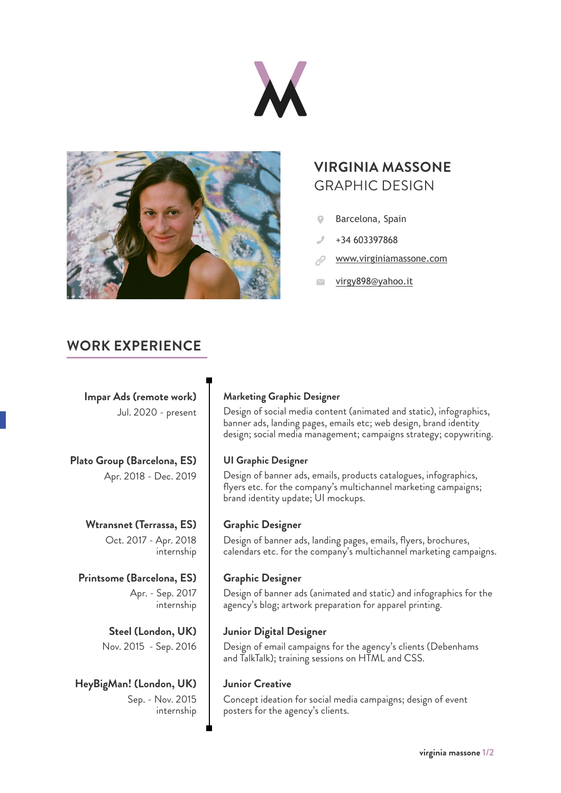



## **VIRGINIA MASSONE** GRAPHIC DESIGN

- Barcelona, Spain
- +34 603397868
- [www.virginiamassone.com](http://www.virginiamassone.com)
- [virgy898@yahoo.it](mailto:virgy898%40yahoo.it?subject=)

## **WORK EXPERIENCE**

**Impar Ads (remote work)** Jul. 2020 - present

**Plato Group (Barcelona, ES)** Apr. 2018 - Dec. 2019

# **Wtransnet (Terrassa, ES)**

Oct. 2017 - Apr. 2018 internship

## **Printsome (Barcelona, ES)** Apr. - Sep. 2017

internship

**Steel (London, UK)** Nov. 2015 - Sep. 2016

**HeyBigMan! (London, UK)** Sep. - Nov. 2015 internship

## **Marketing Graphic Designer**

Design of social media content (animated and static), infographics, banner ads, landing pages, emails etc; web design, brand identity design; social media management; campaigns strategy; copywriting.

## **UI Graphic Designer**

Design of banner ads, emails, products catalogues, infographics, flyers etc. for the company's multichannel marketing campaigns; brand identity update; UI mockups.

## **Graphic Designer**

Design of banner ads, landing pages, emails, flyers, brochures, calendars etc. for the company's multichannel marketing campaigns.

## **Graphic Designer**

Design of banner ads (animated and static) and infographics for the agency's blog; artwork preparation for apparel printing.

## **Junior Digital Designer**

Design of email campaigns for the agency's clients (Debenhams and TalkTalk); training sessions on HTML and CSS.

### **Junior Creative**

Concept ideation for social media campaigns; design of event posters for the agency's clients.